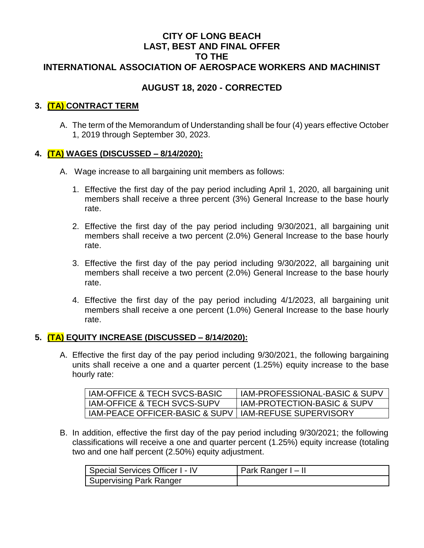## **CITY OF LONG BEACH LAST, BEST AND FINAL OFFER TO THE INTERNATIONAL ASSOCIATION OF AEROSPACE WORKERS AND MACHINIST**

## **AUGUST 18, 2020 - CORRECTED**

## **3. (TA) CONTRACT TERM**

A. The term of the Memorandum of Understanding shall be four (4) years effective October 1, 2019 through September 30, 2023.

#### **4. (TA) WAGES (DISCUSSED – 8/14/2020):**

- A. Wage increase to all bargaining unit members as follows:
	- 1. Effective the first day of the pay period including April 1, 2020, all bargaining unit members shall receive a three percent (3%) General Increase to the base hourly rate.
	- 2. Effective the first day of the pay period including 9/30/2021, all bargaining unit members shall receive a two percent (2.0%) General Increase to the base hourly rate.
	- 3. Effective the first day of the pay period including 9/30/2022, all bargaining unit members shall receive a two percent (2.0%) General Increase to the base hourly rate.
	- 4. Effective the first day of the pay period including 4/1/2023, all bargaining unit members shall receive a one percent (1.0%) General Increase to the base hourly rate.

## **5. (TA) EQUITY INCREASE (DISCUSSED – 8/14/2020):**

A. Effective the first day of the pay period including 9/30/2021, the following bargaining units shall receive a one and a quarter percent (1.25%) equity increase to the base hourly rate:

| IAM-OFFICE & TECH SVCS-BASIC                            | <b>IAM-PROFESSIONAL-BASIC &amp; SUPV</b> |
|---------------------------------------------------------|------------------------------------------|
| IAM-OFFICE & TECH SVCS-SUPV                             | <b>IAM-PROTECTION-BASIC &amp; SUPV</b>   |
| IAM-PEACE OFFICER-BASIC & SUPV   IAM-REFUSE SUPERVISORY |                                          |

B. In addition, effective the first day of the pay period including 9/30/2021; the following classifications will receive a one and quarter percent (1.25%) equity increase (totaling two and one half percent (2.50%) equity adjustment.

| Special Services Officer I - IV | Park Ranger I – II |
|---------------------------------|--------------------|
| ' Supervising Park Ranger       |                    |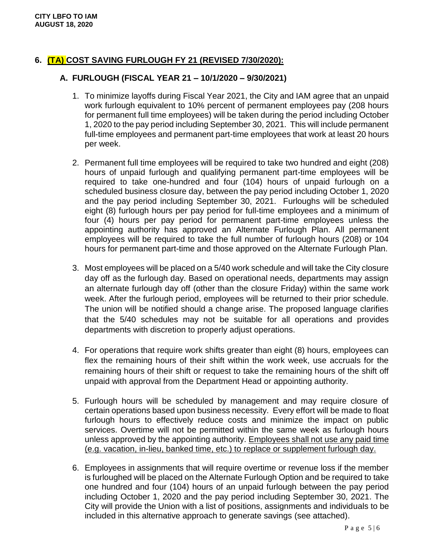## **6. (TA) COST SAVING FURLOUGH FY 21 (REVISED 7/30/2020):**

#### **A. FURLOUGH (FISCAL YEAR 21 – 10/1/2020 – 9/30/2021)**

- 1. To minimize layoffs during Fiscal Year 2021, the City and IAM agree that an unpaid work furlough equivalent to 10% percent of permanent employees pay (208 hours for permanent full time employees) will be taken during the period including October 1, 2020 to the pay period including September 30, 2021. This will include permanent full-time employees and permanent part-time employees that work at least 20 hours per week.
- 2. Permanent full time employees will be required to take two hundred and eight (208) hours of unpaid furlough and qualifying permanent part-time employees will be required to take one-hundred and four (104) hours of unpaid furlough on a scheduled business closure day, between the pay period including October 1, 2020 and the pay period including September 30, 2021. Furloughs will be scheduled eight (8) furlough hours per pay period for full-time employees and a minimum of four (4) hours per pay period for permanent part-time employees unless the appointing authority has approved an Alternate Furlough Plan. All permanent employees will be required to take the full number of furlough hours (208) or 104 hours for permanent part-time and those approved on the Alternate Furlough Plan.
- 3. Most employees will be placed on a 5/40 work schedule and will take the City closure day off as the furlough day. Based on operational needs, departments may assign an alternate furlough day off (other than the closure Friday) within the same work week. After the furlough period, employees will be returned to their prior schedule. The union will be notified should a change arise. The proposed language clarifies that the 5/40 schedules may not be suitable for all operations and provides departments with discretion to properly adjust operations.
- 4. For operations that require work shifts greater than eight (8) hours, employees can flex the remaining hours of their shift within the work week, use accruals for the remaining hours of their shift or request to take the remaining hours of the shift off unpaid with approval from the Department Head or appointing authority.
- 5. Furlough hours will be scheduled by management and may require closure of certain operations based upon business necessity. Every effort will be made to float furlough hours to effectively reduce costs and minimize the impact on public services. Overtime will not be permitted within the same week as furlough hours unless approved by the appointing authority. Employees shall not use any paid time (e.g. vacation, in-lieu, banked time, etc.) to replace or supplement furlough day.
- 6. Employees in assignments that will require overtime or revenue loss if the member is furloughed will be placed on the Alternate Furlough Option and be required to take one hundred and four (104) hours of an unpaid furlough between the pay period including October 1, 2020 and the pay period including September 30, 2021. The City will provide the Union with a list of positions, assignments and individuals to be included in this alternative approach to generate savings (see attached).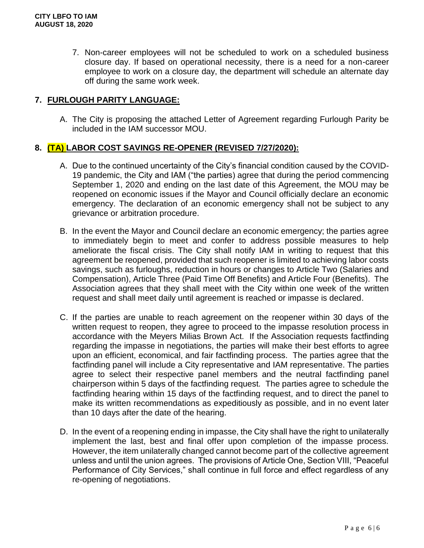7. Non-career employees will not be scheduled to work on a scheduled business closure day. If based on operational necessity, there is a need for a non-career employee to work on a closure day, the department will schedule an alternate day off during the same work week.

## **7. FURLOUGH PARITY LANGUAGE:**

A. The City is proposing the attached Letter of Agreement regarding Furlough Parity be included in the IAM successor MOU.

#### **8. (TA) LABOR COST SAVINGS RE-OPENER (REVISED 7/27/2020):**

- A. Due to the continued uncertainty of the City's financial condition caused by the COVID-19 pandemic, the City and IAM ("the parties) agree that during the period commencing September 1, 2020 and ending on the last date of this Agreement, the MOU may be reopened on economic issues if the Mayor and Council officially declare an economic emergency. The declaration of an economic emergency shall not be subject to any grievance or arbitration procedure.
- B. In the event the Mayor and Council declare an economic emergency; the parties agree to immediately begin to meet and confer to address possible measures to help ameliorate the fiscal crisis. The City shall notify IAM in writing to request that this agreement be reopened, provided that such reopener is limited to achieving labor costs savings, such as furloughs, reduction in hours or changes to Article Two (Salaries and Compensation), Article Three (Paid Time Off Benefits) and Article Four (Benefits). The Association agrees that they shall meet with the City within one week of the written request and shall meet daily until agreement is reached or impasse is declared.
- C. If the parties are unable to reach agreement on the reopener within 30 days of the written request to reopen, they agree to proceed to the impasse resolution process in accordance with the Meyers Milias Brown Act*.* If the Association requests factfinding regarding the impasse in negotiations, the parties will make their best efforts to agree upon an efficient, economical, and fair factfinding process. The parties agree that the factfinding panel will include a City representative and IAM representative. The parties agree to select their respective panel members and the neutral factfinding panel chairperson within 5 days of the factfinding request*.* The parties agree to schedule the factfinding hearing within 15 days of the factfinding request, and to direct the panel to make its written recommendations as expeditiously as possible, and in no event later than 10 days after the date of the hearing.
- D. In the event of a reopening ending in impasse, the City shall have the right to unilaterally implement the last, best and final offer upon completion of the impasse process. However, the item unilaterally changed cannot become part of the collective agreement unless and until the union agrees. The provisions of Article One, Section VIII, "Peaceful Performance of City Services," shall continue in full force and effect regardless of any re-opening of negotiations.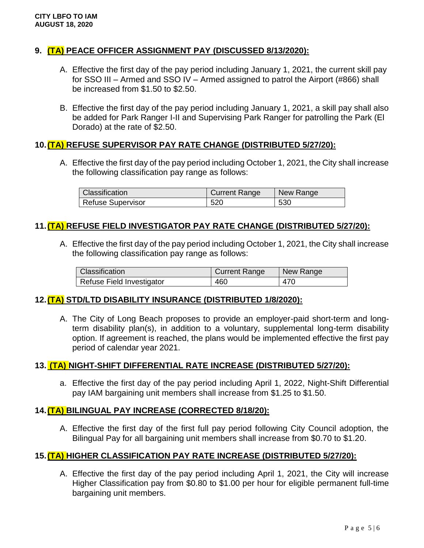## **9. (TA) PEACE OFFICER ASSIGNMENT PAY (DISCUSSED 8/13/2020):**

- A. Effective the first day of the pay period including January 1, 2021, the current skill pay for SSO III – Armed and SSO IV – Armed assigned to patrol the Airport (#866) shall be increased from \$1.50 to \$2.50.
- B. Effective the first day of the pay period including January 1, 2021, a skill pay shall also be added for Park Ranger I-II and Supervising Park Ranger for patrolling the Park (El Dorado) at the rate of \$2.50.

#### **10.(TA) REFUSE SUPERVISOR PAY RATE CHANGE (DISTRIBUTED 5/27/20):**

A. Effective the first day of the pay period including October 1, 2021, the City shall increase the following classification pay range as follows:

| Classification           | <b>Current Range</b> | New Range |
|--------------------------|----------------------|-----------|
| <b>Refuse Supervisor</b> | 520                  | 530       |

#### **11.(TA) REFUSE FIELD INVESTIGATOR PAY RATE CHANGE (DISTRIBUTED 5/27/20):**

A. Effective the first day of the pay period including October 1, 2021, the City shall increase the following classification pay range as follows:

| Classification            | <b>Current Range</b> | New Range |
|---------------------------|----------------------|-----------|
| Refuse Field Investigator | 460                  | 470       |

## **12.(TA) STD/LTD DISABILITY INSURANCE (DISTRIBUTED 1/8/2020):**

A. The City of Long Beach proposes to provide an employer-paid short-term and longterm disability plan(s), in addition to a voluntary, supplemental long-term disability option. If agreement is reached, the plans would be implemented effective the first pay period of calendar year 2021.

#### **13. (TA) NIGHT-SHIFT DIFFERENTIAL RATE INCREASE (DISTRIBUTED 5/27/20):**

a. Effective the first day of the pay period including April 1, 2022, Night-Shift Differential pay IAM bargaining unit members shall increase from \$1.25 to \$1.50.

#### **14.(TA) BILINGUAL PAY INCREASE (CORRECTED 8/18/20):**

A. Effective the first day of the first full pay period following City Council adoption, the Bilingual Pay for all bargaining unit members shall increase from \$0.70 to \$1.20.

#### **15.(TA) HIGHER CLASSIFICATION PAY RATE INCREASE (DISTRIBUTED 5/27/20):**

A. Effective the first day of the pay period including April 1, 2021, the City will increase Higher Classification pay from \$0.80 to \$1.00 per hour for eligible permanent full-time bargaining unit members.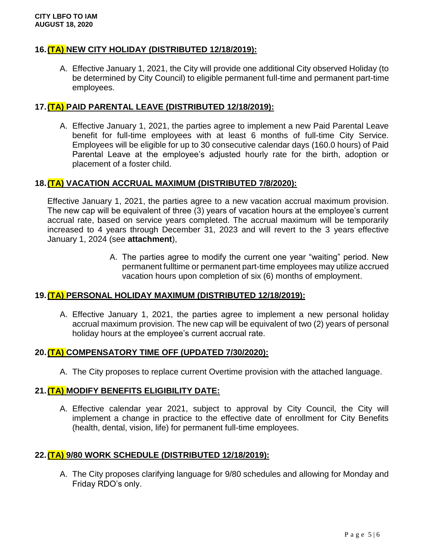#### **16.(TA) NEW CITY HOLIDAY (DISTRIBUTED 12/18/2019):**

A. Effective January 1, 2021, the City will provide one additional City observed Holiday (to be determined by City Council) to eligible permanent full-time and permanent part-time employees.

#### **17.(TA) PAID PARENTAL LEAVE (DISTRIBUTED 12/18/2019):**

A. Effective January 1, 2021, the parties agree to implement a new Paid Parental Leave benefit for full-time employees with at least 6 months of full-time City Service. Employees will be eligible for up to 30 consecutive calendar days (160.0 hours) of Paid Parental Leave at the employee's adjusted hourly rate for the birth, adoption or placement of a foster child.

#### **18.(TA) VACATION ACCRUAL MAXIMUM (DISTRIBUTED 7/8/2020):**

Effective January 1, 2021, the parties agree to a new vacation accrual maximum provision. The new cap will be equivalent of three (3) years of vacation hours at the employee's current accrual rate, based on service years completed. The accrual maximum will be temporarily increased to 4 years through December 31, 2023 and will revert to the 3 years effective January 1, 2024 (see **attachment**),

> A. The parties agree to modify the current one year "waiting" period. New permanent fulltime or permanent part-time employees may utilize accrued vacation hours upon completion of six (6) months of employment.

#### **19.(TA) PERSONAL HOLIDAY MAXIMUM (DISTRIBUTED 12/18/2019):**

A. Effective January 1, 2021, the parties agree to implement a new personal holiday accrual maximum provision. The new cap will be equivalent of two (2) years of personal holiday hours at the employee's current accrual rate.

#### **20.(TA) COMPENSATORY TIME OFF (UPDATED 7/30/2020):**

A. The City proposes to replace current Overtime provision with the attached language.

#### **21.(TA) MODIFY BENEFITS ELIGIBILITY DATE:**

A. Effective calendar year 2021, subject to approval by City Council, the City will implement a change in practice to the effective date of enrollment for City Benefits (health, dental, vision, life) for permanent full-time employees.

#### **22.(TA) 9/80 WORK SCHEDULE (DISTRIBUTED 12/18/2019):**

A. The City proposes clarifying language for 9/80 schedules and allowing for Monday and Friday RDO's only.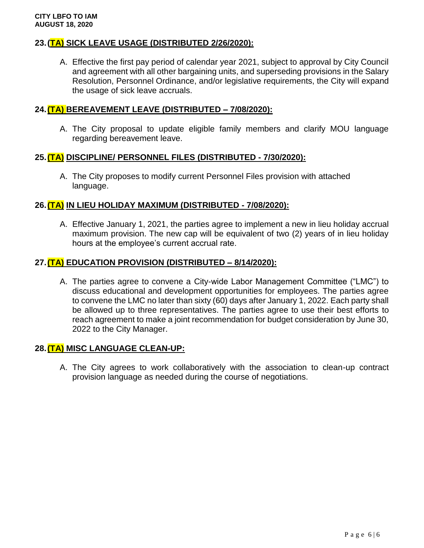#### **23.(TA) SICK LEAVE USAGE (DISTRIBUTED 2/26/2020):**

A. Effective the first pay period of calendar year 2021, subject to approval by City Council and agreement with all other bargaining units, and superseding provisions in the Salary Resolution, Personnel Ordinance, and/or legislative requirements, the City will expand the usage of sick leave accruals.

#### **24.(TA) BEREAVEMENT LEAVE (DISTRIBUTED – 7/08/2020):**

A. The City proposal to update eligible family members and clarify MOU language regarding bereavement leave.

#### **25.(TA) DISCIPLINE/ PERSONNEL FILES (DISTRIBUTED - 7/30/2020):**

A. The City proposes to modify current Personnel Files provision with attached language.

#### **26.(TA) IN LIEU HOLIDAY MAXIMUM (DISTRIBUTED - 7/08/2020):**

A. Effective January 1, 2021, the parties agree to implement a new in lieu holiday accrual maximum provision. The new cap will be equivalent of two (2) years of in lieu holiday hours at the employee's current accrual rate.

#### **27.(TA) EDUCATION PROVISION (DISTRIBUTED – 8/14/2020):**

A. The parties agree to convene a City-wide Labor Management Committee ("LMC") to discuss educational and development opportunities for employees. The parties agree to convene the LMC no later than sixty (60) days after January 1, 2022. Each party shall be allowed up to three representatives. The parties agree to use their best efforts to reach agreement to make a joint recommendation for budget consideration by June 30, 2022 to the City Manager.

#### **28.(TA) MISC LANGUAGE CLEAN-UP:**

A. The City agrees to work collaboratively with the association to clean-up contract provision language as needed during the course of negotiations.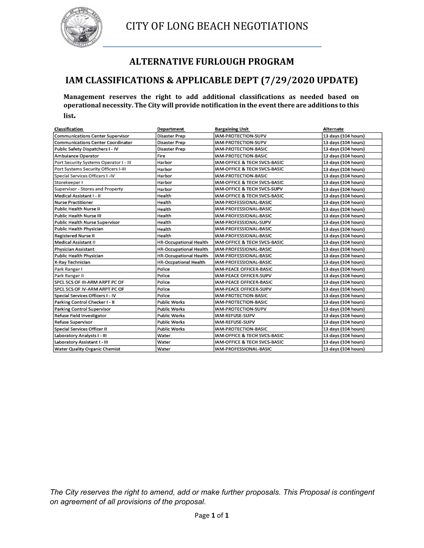

## **ALTERNATIVE FURLOUGH PROGRAM**

## **IAM CLASSIFICATIONS & APPLICABLE DEPT (7/29/2020 UPDATE)**

**Management reserves the right to add additional classifications as needed based on operational necessity. The City will provide notification in the event there are additions to this list.** 

| Classification                           | Department                    | <b>Bargaining Unit</b>         | Alternate           |
|------------------------------------------|-------------------------------|--------------------------------|---------------------|
| Communications Center Supervisor         | Disaster Prep                 | IAM-PROTECTION-SUPV            | 13 days (104 hours) |
| <b>Communications Center Coordinator</b> | Disaster Prep                 | IAM-PROTECTION-SUPV            | 13 days (104 hours) |
| Public Safety Dispatchers I - IV         | Disaster Prep                 | IAM-PROTECTION-BASIC           | 13 days (104 hours) |
| Ambulance Operator                       | Fire                          | IAM-PROTECTION-BASIC           | 13 days (104 hours) |
| Port Security Systems Operator I - III   | Harbor                        | IAM-OFFICE & TECH SVCS-BASIC   | 13 days (104 hours) |
| Port Systems Security Officers I-III     | Harbor                        | IAM-OFFICE & TECH SVCS-BASIC   | 13 days (104 hours) |
| Special Services Officers I -IV          | Harbor                        | IAM-PROTECTION-BASIC           | 13 days (104 hours) |
| Storekeeper I                            | Harbor                        | IAM-OFFICE & TECH SVCS-BASIC   | 13 days (104 hours) |
| Supervisor - Stores and Property         | Harbor                        | IAM-OFFICE & TECH SVCS-SUPV    | 13 days (104 hours) |
| Medical Assistant I - II                 | Health                        | IAM-OFFICE & TECH SVCS-BASIC   | 13 days (104 hours) |
| <b>Nurse Practitioner</b>                | Health                        | IAM-PROFESSIONAL-BASIC         | 13 days (104 hours) |
| Public Health Nurse II                   | Health                        | IAM-PROFESSIONAL-BASIC         | 13 days (104 hours) |
| Public Health Nurse III                  | Health                        | IAM-PROFESSIONAL-BASIC         | 13 days (104 hours) |
| Public Health Nurse Supervisor           | Health                        | IAM-PROFESSIONAL-SUPV          | 13 days (104 hours) |
| Public Health Physician                  | Health                        | IAM-PROFESSIONAL-BASIC         | 13 days (104 hours) |
| <b>Registered Nurse II</b>               | Health                        | IAM-PROFESSIONAL-BASIC         | 13 days (104 hours) |
| <b>Medical Assistant II</b>              | <b>HR-Occupational Health</b> | IAM-OFFICE & TECH SVCS-BASIC   | 13 days (104 hours) |
| Physician Assistant                      | <b>HR-Occupational Health</b> | IAM-PROFESSIONAL-BASIC         | 13 days (104 hours) |
| Public Health Physician                  | HR-Occupational Health        | IAM-PROFESSIONAL-BASIC         | 13 days (104 hours) |
| X-Ray Technician                         | <b>HR-Occpational Health</b>  | IAM-PROFESSIONAL-BASIC         | 13 days (104 hours) |
| Park Ranger I                            | Police                        | IAM-PEACE OFFICER-BASIC        | 13 days (104 hours) |
| Park Ranger II                           | Police                        | IAM-PEACE OFFICER-SUPV         | 13 days (104 hours) |
| SPCL SCS OF III-ARM ARPT PC OF           | Police                        | <b>IAM-PEACE OFFICER-BASIC</b> | 13 days (104 hours) |
| SPCL SCS OF IV-ARM ARPT PC OF            | Police                        | IAM-PEACE OFFICER-SUPV         | 13 days (104 hours) |
| Special Services Officers I - IV         | Police                        | IAM-PROTECTION-BASIC           | 13 days (104 hours) |
| Parking Control Checker I - II           | Public Works                  | IAM-PROTECTION-BASIC           | 13 days (104 hours) |
| Parking Control Supervisor               | Public Works                  | IAM-PROTECTION-SUPV            | 13 days (104 hours) |
| Refuse Field Investigator                | <b>Public Works</b>           | IAM-REFUSE-SUPV                | 13 days (104 hours) |
| Refuse Supervisor                        | <b>Public Works</b>           | IAM-REFUSE-SUPV                | 13 days (104 hours) |
| Special Services Officer II              | <b>Public Works</b>           | IAM-PROTECTION-BASIC           | 13 days (104 hours) |
| Laboratory Analysts I - III              | Water                         | IAM-OFFICE & TECH SVCS-BASIC   | 13 days (104 hours) |
| Laboratory Assistant I - III             | Water                         | IAM-OFFICE & TECH SVCS-BASIC   | 13 days (104 hours) |
| Water Quality Organic Chemist            | Water                         | IAM-PROFESSIONAL-BASIC         | 13 days (104 hours) |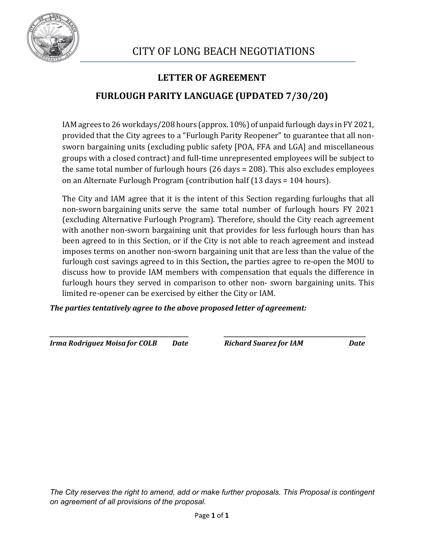

## **LETTER OF AGREEMENT**

## **FURLOUGH PARITY LANGUAGE (UPDATED 7/30/20)**

IAM agrees to 26 workdays/208 hours (approx. 10%) of unpaid furlough days in FY 2021, provided that the City agrees to a "Furlough Parity Reopener" to guarantee that all nonsworn bargaining units (excluding public safety [POA, FFA and LGA] and miscellaneous groups with a closed contract) and full-time unrepresented employees will be subject to the same total number of furlough hours (26 days = 208). This also excludes employees on an Alternate Furlough Program (contribution half (13 days = 104 hours).

The City and IAM agree that it is the intent of this Section regarding furloughs that all non-sworn bargaining units serve the same total number of furlough hours FY 2021 (excluding Alternative Furlough Program). Therefore, should the City reach agreement with another non-sworn bargaining unit that provides for less furlough hours than has been agreed to in this Section, or if the City is not able to reach agreement and instead imposes terms on another non-sworn bargaining unit that are less than the value of the furlough cost savings agreed to in this Section**,** the parties agree to re-open the MOU to discuss how to provide IAM members with compensation that equals the difference in furlough hours they served in comparison to other non- sworn bargaining units. This limited re-opener can be exercised by either the City or IAM.

*The parties tentatively agree to the above proposed letter of agreement:*

*Irma Rodriguez Moisa for COLB Date Richard Suarez for IAM Date*

*\_\_\_\_\_\_\_\_\_\_\_\_\_\_\_\_\_\_\_\_\_\_\_\_\_\_\_\_\_\_\_\_\_\_\_\_\_\_\_\_\_\_\_\_\_\_\_\_\_\_\_\_ \_\_\_\_\_\_\_\_\_\_\_\_\_\_\_\_\_\_\_\_\_\_\_\_\_\_\_\_\_\_\_\_\_\_\_\_\_\_\_\_\_\_\_\_\_\_\_\_\_\_\_\_\_*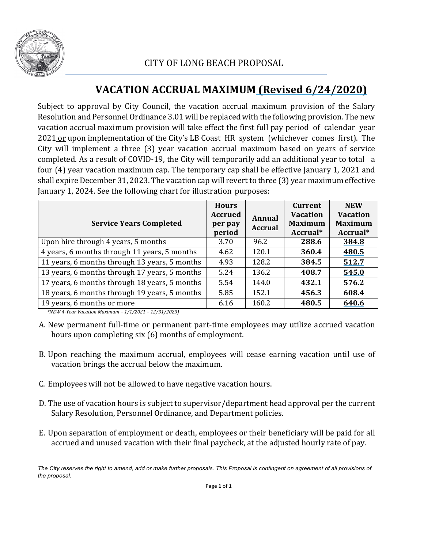

# **VACATION ACCRUAL MAXIMUM (Revised 6/24/2020)**

Subject to approval by City Council, the vacation accrual maximum provision of the Salary Resolution and Personnel Ordinance 3.01 will be replaced with the following provision. The new vacation accrual maximum provision will take effect the first full pay period of calendar year 2021 or upon implementation of the City's LB Coast HR system (whichever comes first). The City will implement a three (3) year vacation accrual maximum based on years of service completed. As a result of COVID-19, the City will temporarily add an additional year to total a four (4) year vacation maximum cap. The temporary cap shall be effective January 1, 2021 and shall expire December 31, 2023. The vacation cap will revert to three (3) year maximum effective January 1, 2024. See the following chart for illustration purposes:

| <b>Service Years Completed</b>                | <b>Hours</b><br><b>Accrued</b><br>per pay<br>period | <b>Annual</b><br><b>Accrual</b> | <b>Current</b><br><b>Vacation</b><br><b>Maximum</b><br>Accrual* | <b>NEW</b><br><b>Vacation</b><br><b>Maximum</b><br>Accrual* |
|-----------------------------------------------|-----------------------------------------------------|---------------------------------|-----------------------------------------------------------------|-------------------------------------------------------------|
| Upon hire through 4 years, 5 months           | 3.70                                                | 96.2                            | 288.6                                                           | 384.8                                                       |
| 4 years, 6 months through 11 years, 5 months  | 4.62                                                | 120.1                           | 360.4                                                           | 480.5                                                       |
| 11 years, 6 months through 13 years, 5 months | 4.93                                                | 128.2                           | 384.5                                                           | 512.7                                                       |
| 13 years, 6 months through 17 years, 5 months | 5.24                                                | 136.2                           | 408.7                                                           | 545.0                                                       |
| 17 years, 6 months through 18 years, 5 months | 5.54                                                | 144.0                           | 432.1                                                           | 576.2                                                       |
| 18 years, 6 months through 19 years, 5 months | 5.85                                                | 152.1                           | 456.3                                                           | 608.4                                                       |
| 19 years, 6 months or more                    | 6.16                                                | 160.2                           | 480.5                                                           | 640.6                                                       |

*\*NEW 4-Year Vacation Maximum – 1/1/2021 – 12/31/2023)*

- A. New permanent full-time or permanent part-time employees may utilize accrued vacation hours upon completing six (6) months of employment.
- B. Upon reaching the maximum accrual, employees will cease earning vacation until use of vacation brings the accrual below the maximum.
- C. Employees will not be allowed to have negative vacation hours.
- D. The use of vacation hours is subject to supervisor/department head approval per the current Salary Resolution, Personnel Ordinance, and Department policies.
- E. Upon separation of employment or death, employees or their beneficiary will be paid for all accrued and unused vacation with their final paycheck, at the adjusted hourly rate of pay.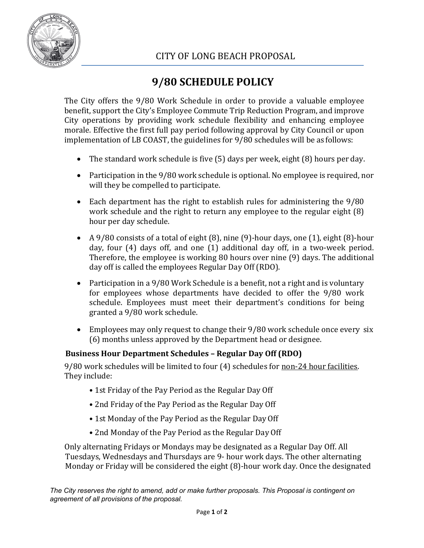

# **9/80 SCHEDULE POLICY**

The City offers the 9/80 Work Schedule in order to provide a valuable employee benefit, support the City's Employee Commute Trip Reduction Program, and improve City operations by providing work schedule flexibility and enhancing employee morale. Effective the first full pay period following approval by City Council or upon implementation of LB COAST, the guidelines for 9/80 schedules will be as follows:

- The standard work schedule is five (5) days per week, eight (8) hours per day.
- Participation in the 9/80 work schedule is optional. No employee is required, nor will they be compelled to participate.
- Each department has the right to establish rules for administering the 9/80 work schedule and the right to return any employee to the regular eight (8) hour per day schedule.
- A 9/80 consists of a total of eight (8), nine (9)-hour days, one (1), eight (8)-hour day, four (4) days off, and one (1) additional day off, in a two-week period. Therefore, the employee is working 80 hours over nine (9) days. The additional day off is called the employees Regular Day Off (RDO).
- Participation in a 9/80 Work Schedule is a benefit, not a right and is voluntary for employees whose departments have decided to offer the 9/80 work schedule. Employees must meet their department's conditions for being granted a 9/80 work schedule.
- Employees may only request to change their 9/80 work schedule once every six (6) months unless approved by the Department head or designee.

## **Business Hour Department Schedules – Regular Day Off (RDO)**

9/80 work schedules will be limited to four (4) schedules for non-24 hour facilities. They include:

- 1st Friday of the Pay Period as the Regular Day Off
- 2nd Friday of the Pay Period as the Regular Day Off
- 1st Monday of the Pay Period as the Regular Day Off
- 2nd Monday of the Pay Period as the Regular Day Off

Only alternating Fridays or Mondays may be designated as a Regular Day Off. All Tuesdays, Wednesdays and Thursdays are 9- hour work days. The other alternating Monday or Friday will be considered the eight (8)-hour work day. Once the designated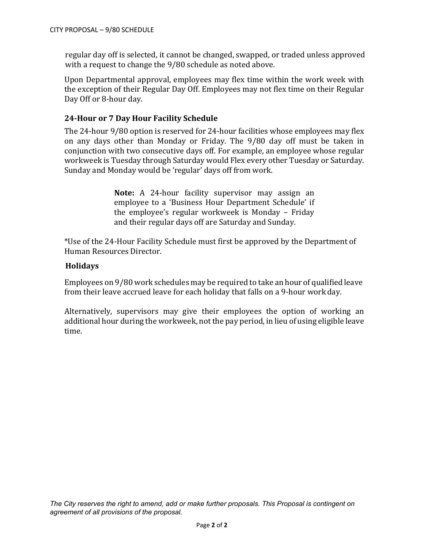regular day off is selected, it cannot be changed, swapped, or traded unless approved with a request to change the 9/80 schedule as noted above.

Upon Departmental approval, employees may flex time within the work week with the exception of their Regular Day Off. Employees may not flex time on their Regular Day Off or 8-hour day.

#### **24-Hour or 7 Day Hour Facility Schedule**

The 24-hour 9/80 option is reserved for 24-hour facilities whose employees may flex on any days other than Monday or Friday. The 9/80 day off must be taken in conjunction with two consecutive days off. For example, an employee whose regular workweek is Tuesday through Saturday would Flex every other Tuesday or Saturday. Sunday and Monday would be 'regular' days off from work.

> **Note:** A 24-hour facility supervisor may assign an employee to a 'Business Hour Department Schedule' if the employee's regular workweek is Monday – Friday and their regular days off are Saturday and Sunday.

\*Use of the 24-Hour Facility Schedule must first be approved by the Department of Human Resources Director.

#### **Holidays**

Employees on 9/80 work schedules may be required to take an hour of qualified leave from their leave accrued leave for each holiday that falls on a 9-hour work day.

Alternatively, supervisors may give their employees the option of working an additional hour during the workweek, not the pay period, in lieu of using eligible leave time.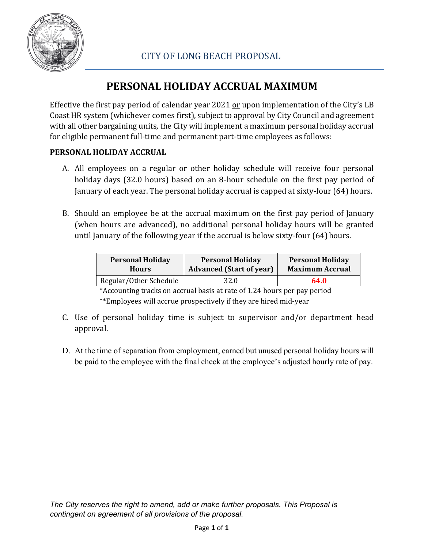

# **PERSONAL HOLIDAY ACCRUAL MAXIMUM**

Effective the first pay period of calendar year 2021 or upon implementation of the City's LB Coast HR system (whichever comes first), subject to approval by City Council and agreement with all other bargaining units, the City will implement a maximum personal holiday accrual for eligible permanent full-time and permanent part-time employees as follows:

## **PERSONAL HOLIDAY ACCRUAL**

- A. All employees on a regular or other holiday schedule will receive four personal holiday days (32.0 hours) based on an 8-hour schedule on the first pay period of January of each year. The personal holiday accrual is capped at sixty-four (64) hours.
- B. Should an employee be at the accrual maximum on the first pay period of January (when hours are advanced), no additional personal holiday hours will be granted until January of the following year if the accrual is below sixty-four (64) hours.

| <b>Personal Holiday</b> | <b>Personal Holiday</b>         | <b>Personal Holiday</b> |  |
|-------------------------|---------------------------------|-------------------------|--|
| <b>Hours</b>            | <b>Advanced (Start of year)</b> | <b>Maximum Accrual</b>  |  |
| Regular/Other Schedule  | 32.0                            | 64.0                    |  |

\*Accounting tracks on accrual basis at rate of 1.24 hours per pay period \*\*Employees will accrue prospectively if they are hired mid-year

- C. Use of personal holiday time is subject to supervisor and/or department head approval.
- D. At the time of separation from employment, earned but unused personal holiday hours will be paid to the employee with the final check at the employee's adjusted hourly rate of pay.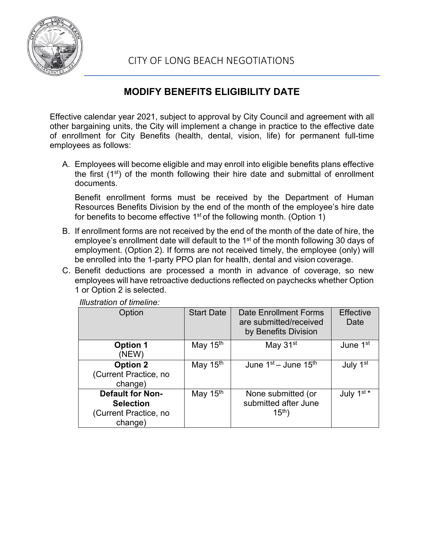

## **MODIFY BENEFITS ELIGIBILITY DATE**

Effective calendar year 2021, subject to approval by City Council and agreement with all other bargaining units, the City will implement a change in practice to the effective date of enrollment for City Benefits (health, dental, vision, life) for permanent full-time employees as follows:

A. Employees will become eligible and may enroll into eligible benefits plans effective the first (1<sup>st</sup>) of the month following their hire date and submittal of enrollment documents.

Benefit enrollment forms must be received by the Department of Human Resources Benefits Division by the end of the month of the employee's hire date for benefits to become effective  $1<sup>st</sup>$  of the following month. (Option 1)

- B. If enrollment forms are not received by the end of the month of the date of hire, the employee's enrollment date will default to the 1<sup>st</sup> of the month following 30 days of employment. (Option 2). If forms are not received timely, the employee (only) will be enrolled into the 1-party PPO plan for health, dental and vision coverage.
- C. Benefit deductions are processed a month in advance of coverage, so new employees will have retroactive deductions reflected on paychecks whether Option 1 or Option 2 is selected.

| Option                                                                          | <b>Start Date</b>    | Date Enrollment Forms<br>are submitted/received<br>by Benefits Division | <b>Effective</b><br>Date |
|---------------------------------------------------------------------------------|----------------------|-------------------------------------------------------------------------|--------------------------|
| <b>Option 1</b><br>(NEW)                                                        | May 15 <sup>th</sup> | May 31 <sup>st</sup>                                                    | June 1 <sup>st</sup>     |
| <b>Option 2</b><br>(Current Practice, no<br>change)                             | May 15 <sup>th</sup> | June $1st -$ June $15th$                                                | July 1 <sup>st</sup>     |
| <b>Default for Non-</b><br><b>Selection</b><br>(Current Practice, no<br>change) | May 15 <sup>th</sup> | None submitted (or<br>submitted after June<br>$15^{th}$ )               | July $1^{st}$            |

*Illustration of timeline:*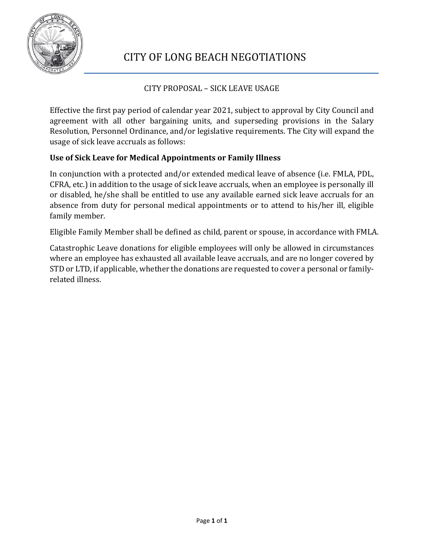

## CITY PROPOSAL – SICK LEAVE USAGE

Effective the first pay period of calendar year 2021, subject to approval by City Council and agreement with all other bargaining units, and superseding provisions in the Salary Resolution, Personnel Ordinance, and/or legislative requirements. The City will expand the usage of sick leave accruals as follows:

#### **Use of Sick Leave for Medical Appointments or Family Illness**

In conjunction with a protected and/or extended medical leave of absence (i.e. FMLA, PDL, CFRA, etc.) in addition to the usage of sick leave accruals, when an employee is personally ill or disabled, he/she shall be entitled to use any available earned sick leave accruals for an absence from duty for personal medical appointments or to attend to his/her ill, eligible family member.

Eligible Family Member shall be defined as child, parent or spouse, in accordance with FMLA.

Catastrophic Leave donations for eligible employees will only be allowed in circumstances where an employee has exhausted all available leave accruals, and are no longer covered by STD or LTD, if applicable, whether the donations are requested to cover a personal or familyrelated illness.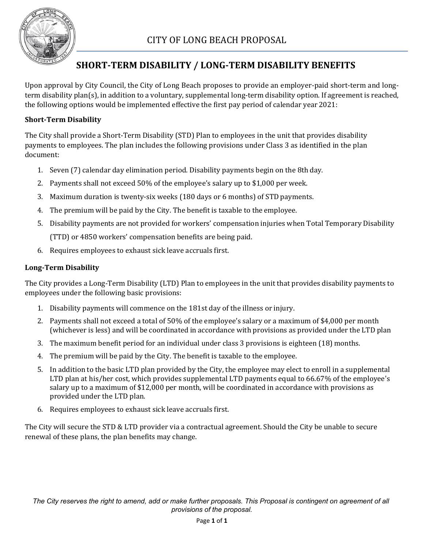

## **SHORT-TERM DISABILITY / LONG-TERM DISABILITY BENEFITS**

Upon approval by City Council, the City of Long Beach proposes to provide an employer-paid short-term and longterm disability plan(s), in addition to a voluntary, supplemental long-term disability option. If agreement is reached, the following options would be implemented effective the first pay period of calendar year 2021:

#### **Short-Term Disability**

The City shall provide a Short-Term Disability (STD) Plan to employees in the unit that provides disability payments to employees. The plan includes the following provisions under Class 3 as identified in the plan document:

- 1. Seven (7) calendar day elimination period. Disability payments begin on the 8th day.
- 2. Payments shall not exceed 50% of the employee's salary up to \$1,000 per week.
- 3. Maximum duration is twenty-six weeks (180 days or 6 months) of STD payments.
- 4. The premium will be paid by the City. The benefit is taxable to the employee.
- 5. Disability payments are not provided for workers' compensation injuries when Total Temporary Disability (TTD) or 4850 workers' compensation benefits are being paid.
- 6. Requires employees to exhaust sick leave accruals first.

#### **Long-Term Disability**

The City provides a Long-Term Disability (LTD) Plan to employees in the unit that provides disability payments to employees under the following basic provisions:

- 1. Disability payments will commence on the 181st day of the illness or injury.
- 2. Payments shall not exceed a total of 50% of the employee's salary or a maximum of \$4,000 per month (whichever is less) and will be coordinated in accordance with provisions as provided under the LTD plan
- 3. The maximum benefit period for an individual under class 3 provisions is eighteen (18) months.
- 4. The premium will be paid by the City. The benefit is taxable to the employee.
- 5. In addition to the basic LTD plan provided by the City, the employee may elect to enroll in a supplemental LTD plan at his/her cost, which provides supplemental LTD payments equal to 66.67% of the employee's salary up to a maximum of \$12,000 per month, will be coordinated in accordance with provisions as provided under the LTD plan.
- 6. Requires employees to exhaust sick leave accruals first.

The City will secure the STD & LTD provider via a contractual agreement. Should the City be unable to secure renewal of these plans, the plan benefits may change.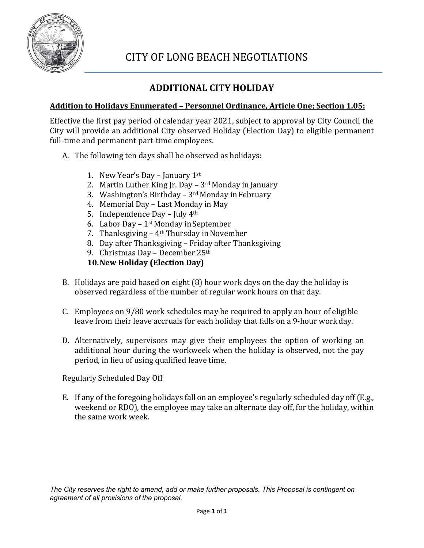

## **ADDITIONAL CITY HOLIDAY**

## **Addition to Holidays Enumerated – Personnel Ordinance, Article One; Section 1.05:**

Effective the first pay period of calendar year 2021, subject to approval by City Council the City will provide an additional City observed Holiday (Election Day) to eligible permanent full-time and permanent part-time employees.

- A. The following ten days shall be observed as holidays:
	- 1. New Year's Day January  $1<sup>st</sup>$
	- 2. Martin Luther King Jr. Day  $-3$ <sup>rd</sup> Monday in January
	- 3. Washington's Birthday  $3<sup>rd</sup>$  Monday in February
	- 4. Memorial Day Last Monday in May
	- 5. Independence Day July  $4<sup>th</sup>$
	- 6. Labor Day  $1<sup>st</sup>$  Monday in September
	- 7. Thanksgiving  $-4$ <sup>th</sup> Thursday in November
	- 8. Day after Thanksgiving Friday after Thanksgiving
	- 9. Christmas Day December 25th

## **10.New Holiday (Election Day)**

- B. Holidays are paid based on eight (8) hour work days on the day the holiday is observed regardless of the number of regular work hours on that day.
- C. Employees on 9/80 work schedules may be required to apply an hour of eligible leave from their leave accruals for each holiday that falls on a 9-hour workday.
- D. Alternatively, supervisors may give their employees the option of working an additional hour during the workweek when the holiday is observed, not the pay period, in lieu of using qualified leave time.

Regularly Scheduled Day Off

E. If any of the foregoing holidays fall on an employee's regularly scheduled day off (E.g., weekend or RDO), the employee may take an alternate day off, for the holiday, within the same work week.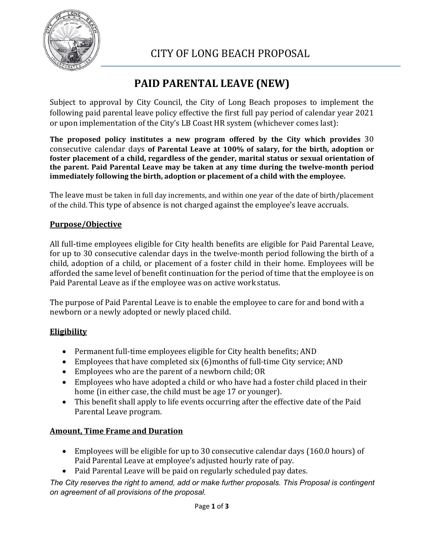

# **PAID PARENTAL LEAVE (NEW)**

Subject to approval by City Council, the City of Long Beach proposes to implement the following paid parental leave policy effective the first full pay period of calendar year 2021 or upon implementation of the City's LB Coast HR system (whichever comes last):

**The proposed policy institutes a new program offered by the City which provides** 30 consecutive calendar days **of Parental Leave at 100% of salary, for the birth, adoption or foster placement of a child, regardless of the gender, marital status or sexual orientation of the parent. Paid Parental Leave may be taken at any time during the twelve-month period immediately following the birth, adoption or placement of a child with the employee.**

The leave must be taken in full day increments, and within one year of the date of birth/placement of the child. This type of absence is not charged against the employee's leave accruals.

## **Purpose/Objective**

All full-time employees eligible for City health benefits are eligible for Paid Parental Leave, for up to 30 consecutive calendar days in the twelve-month period following the birth of a child, adoption of a child, or placement of a foster child in their home. Employees will be afforded the same level of benefit continuation for the period of time that the employee is on Paid Parental Leave as if the employee was on active work status.

The purpose of Paid Parental Leave is to enable the employee to care for and bond with a newborn or a newly adopted or newly placed child.

## **Eligibility**

- Permanent full-time employees eligible for City health benefits; AND
- Employees that have completed six (6)months of full-time City service; AND
- Employees who are the parent of a newborn child; OR
- Employees who have adopted a child or who have had a foster child placed in their home (in either case, the child must be age 17 or younger).
- This benefit shall apply to life events occurring after the effective date of the Paid Parental Leave program.

## **Amount, Time Frame and Duration**

- Employees will be eligible for up to 30 consecutive calendar days (160.0 hours) of Paid Parental Leave at employee's adjusted hourly rate of pay.
- Paid Parental Leave will be paid on regularly scheduled pay dates.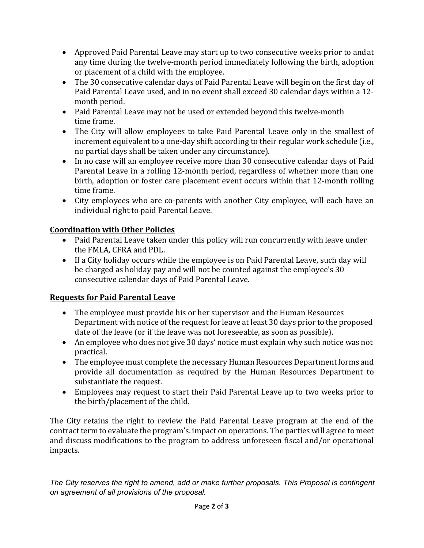- Approved Paid Parental Leave may start up to two consecutive weeks prior to andat any time during the twelve-month period immediately following the birth, adoption or placement of a child with the employee.
- The 30 consecutive calendar days of Paid Parental Leave will begin on the first day of Paid Parental Leave used, and in no event shall exceed 30 calendar days within a 12 month period.
- Paid Parental Leave may not be used or extended beyond this twelve-month time frame.
- The City will allow employees to take Paid Parental Leave only in the smallest of increment equivalent to a one-day shift according to their regular work schedule (i.e., no partial days shall be taken under any circumstance).
- In no case will an employee receive more than 30 consecutive calendar days of Paid Parental Leave in a rolling 12-month period, regardless of whether more than one birth, adoption or foster care placement event occurs within that 12-month rolling time frame.
- City employees who are co-parents with another City employee, will each have an individual right to paid Parental Leave.

## **Coordination with Other Policies**

- Paid Parental Leave taken under this policy will run concurrently with leave under the FMLA, CFRA and PDL.
- If a City holiday occurs while the employee is on Paid Parental Leave, such day will be charged as holiday pay and will not be counted against the employee's 30 consecutive calendar days of Paid Parental Leave.

## **Requests for Paid Parental Leave**

- The employee must provide his or her supervisor and the Human Resources Department with notice of the request for leave at least 30 days prior to the proposed date of the leave (or if the leave was not foreseeable, as soon as possible).
- An employee who does not give 30 days' notice must explain why such notice was not practical.
- The employee must complete the necessary Human Resources Department forms and provide all documentation as required by the Human Resources Department to substantiate the request.
- Employees may request to start their Paid Parental Leave up to two weeks prior to the birth/placement of the child.

The City retains the right to review the Paid Parental Leave program at the end of the contract term to evaluate the program's. impact on operations. The parties will agree to meet and discuss modifications to the program to address unforeseen fiscal and/or operational impacts.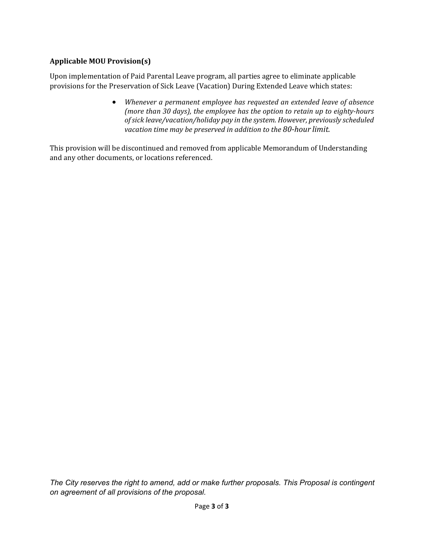#### **Applicable MOU Provision(s)**

Upon implementation of Paid Parental Leave program, all parties agree to eliminate applicable provisions for the Preservation of Sick Leave (Vacation) During Extended Leave which states:

> • *Whenever a permanent employee has requested an extended leave of absence (more than 30 days), the employee has the option to retain up to eighty-hours ofsick leave/vacation/holiday pay in the system. However, previously scheduled vacation time may be preserved in addition to the 80-hour limit.*

This provision will be discontinued and removed from applicable Memorandum of Understanding and any other documents, or locations referenced.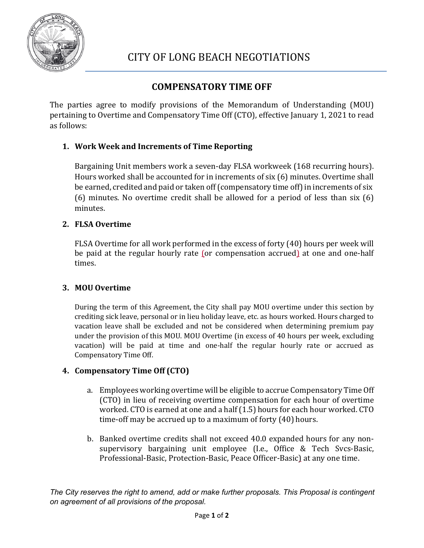

## **COMPENSATORY TIME OFF**

The parties agree to modify provisions of the Memorandum of Understanding (MOU) pertaining to Overtime and Compensatory Time Off (CTO), effective January 1, 2021 to read as follows:

## **1. Work Week and Increments of Time Reporting**

Bargaining Unit members work a seven-day FLSA workweek (168 recurring hours). Hours worked shall be accounted for in increments of six (6) minutes. Overtime shall be earned, credited and paid or taken off (compensatory time off) in increments of six (6) minutes. No overtime credit shall be allowed for a period of less than six (6) minutes.

#### **2. FLSA Overtime**

FLSA Overtime for all work performed in the excess of forty (40) hours per week will be paid at the regular hourly rate (or compensation accrued) at one and one-half times.

#### **3. MOU Overtime**

During the term of this Agreement, the City shall pay MOU overtime under this section by crediting sick leave, personal or in lieu holiday leave, etc. as hours worked. Hours charged to vacation leave shall be excluded and not be considered when determining premium pay under the provision of this MOU. MOU Overtime (in excess of 40 hours per week, excluding vacation) will be paid at time and one-half the regular hourly rate or accrued as Compensatory Time Off.

#### **4. Compensatory Time Off (CTO)**

- a. Employees working overtime will be eligible to accrue Compensatory Time Off (CTO) in lieu of receiving overtime compensation for each hour of overtime worked. CTO is earned at one and a half (1.5) hours for each hour worked. CTO time-off may be accrued up to a maximum of forty (40) hours.
- b. Banked overtime credits shall not exceed 40.0 expanded hours for any nonsupervisory bargaining unit employee (I.e., Office & Tech Svcs-Basic, Professional-Basic, Protection-Basic, Peace Officer-Basic) at any one time.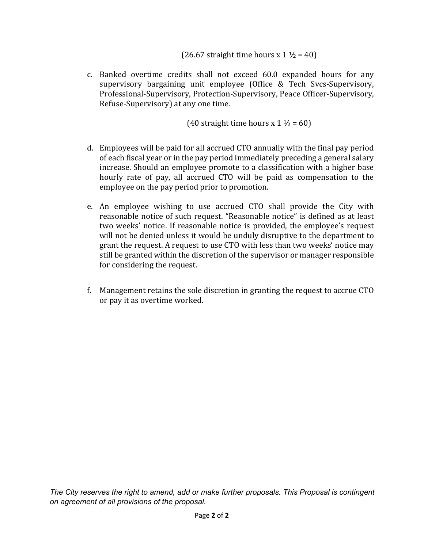(26.67 straight time hours  $x 1 \frac{1}{2} = 40$ )

c. Banked overtime credits shall not exceed 60.0 expanded hours for any supervisory bargaining unit employee (Office & Tech Svcs-Supervisory, Professional-Supervisory, Protection-Supervisory, Peace Officer-Supervisory, Refuse-Supervisory) at any one time.

(40 straight time hours x  $1 \frac{1}{2} = 60$ )

- d. Employees will be paid for all accrued CTO annually with the final pay period of each fiscal year or in the pay period immediately preceding a general salary increase. Should an employee promote to a classification with a higher base hourly rate of pay, all accrued CTO will be paid as compensation to the employee on the pay period prior to promotion.
- e. An employee wishing to use accrued CTO shall provide the City with reasonable notice of such request. "Reasonable notice" is defined as at least two weeks' notice. If reasonable notice is provided, the employee's request will not be denied unless it would be unduly disruptive to the department to grant the request. A request to use CTO with less than two weeks' notice may still be granted within the discretion of the supervisor or manager responsible for considering the request.
- f. Management retains the sole discretion in granting the request to accrue CTO or pay it as overtime worked.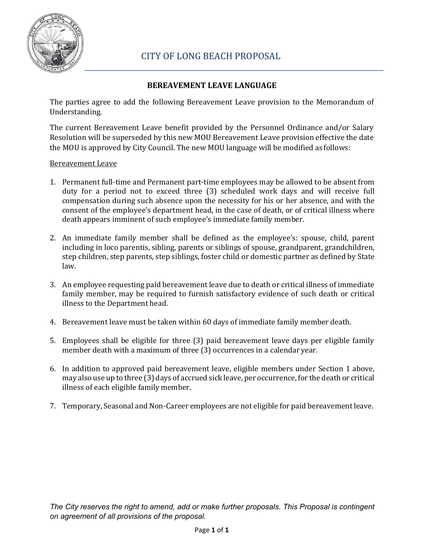

### **BEREAVEMENT LEAVE LANGUAGE**

The parties agree to add the following Bereavement Leave provision to the Memorandum of Understanding.

The current Bereavement Leave benefit provided by the Personnel Ordinance and/or Salary Resolution will be superseded by this new MOU Bereavement Leave provision effective the date the MOU is approved by City Council. The new MOU language will be modified as follows:

#### Bereavement Leave

- 1. Permanent full-time and Permanent part-time employees may be allowed to be absent from duty for a period not to exceed three (3) scheduled work days and will receive full compensation during such absence upon the necessity for his or her absence, and with the consent of the employee's department head, in the case of death, or of critical illness where death appears imminent of such employee's immediate family member.
- 2. An immediate family member shall be defined as the employee's: spouse, child, parent including in loco parentis, sibling, parents or siblings of spouse, grandparent, grandchildren, step children, step parents, step siblings, foster child or domestic partner as defined by State law.
- 3. An employee requesting paid bereavement leave due to death or critical illness of immediate family member, may be required to furnish satisfactory evidence of such death or critical illness to the Department head.
- 4. Bereavement leave must be taken within 60 days of immediate family member death.
- 5. Employees shall be eligible for three (3) paid bereavement leave days per eligible family member death with a maximum of three (3) occurrences in a calendar year.
- 6. In addition to approved paid bereavement leave, eligible members under Section 1 above, may also use up to three (3) days of accrued sick leave, per occurrence, for the death or critical illness of each eligible family member.
- 7. Temporary, Seasonal and Non-Career employees are not eligible for paid bereavement leave.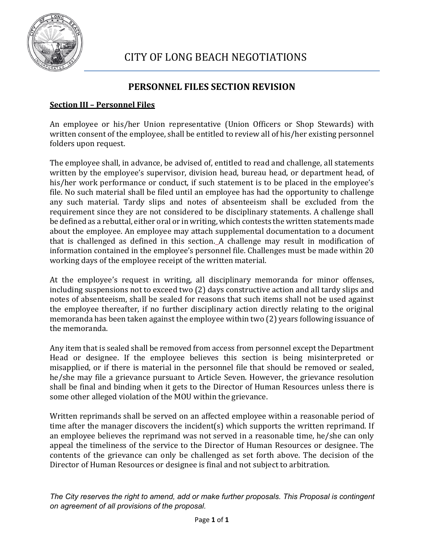

## **PERSONNEL FILES SECTION REVISION**

#### **Section III – Personnel Files**

An employee or his/her Union representative (Union Officers or Shop Stewards) with written consent of the employee, shall be entitled to review all of his/her existing personnel folders upon request.

The employee shall, in advance, be advised of, entitled to read and challenge, all statements written by the employee's supervisor, division head, bureau head, or department head, of his/her work performance or conduct, if such statement is to be placed in the employee's file. No such material shall be filed until an employee has had the opportunity to challenge any such material. Tardy slips and notes of absenteeism shall be excluded from the requirement since they are not considered to be disciplinary statements. A challenge shall be defined as a rebuttal, either oral or in writing, which contests the written statements made about the employee. An employee may attach supplemental documentation to a document that is challenged as defined in this section. A challenge may result in modification of information contained in the employee's personnel file. Challenges must be made within 20 working days of the employee receipt of the written material.

At the employee's request in writing, all disciplinary memoranda for minor offenses, including suspensions not to exceed two (2) days constructive action and all tardy slips and notes of absenteeism, shall be sealed for reasons that such items shall not be used against the employee thereafter, if no further disciplinary action directly relating to the original memoranda has been taken against the employee within two (2) years following issuance of the memoranda.

Any item that is sealed shall be removed from access from personnel except the Department Head or designee. If the employee believes this section is being misinterpreted or misapplied, or if there is material in the personnel file that should be removed or sealed, he/she may file a grievance pursuant to Article Seven. However, the grievance resolution shall be final and binding when it gets to the Director of Human Resources unless there is some other alleged violation of the MOU within the grievance.

Written reprimands shall be served on an affected employee within a reasonable period of time after the manager discovers the incident(s) which supports the written reprimand. If an employee believes the reprimand was not served in a reasonable time, he/she can only appeal the timeliness of the service to the Director of Human Resources or designee. The contents of the grievance can only be challenged as set forth above. The decision of the Director of Human Resources or designee is final and not subject to arbitration.